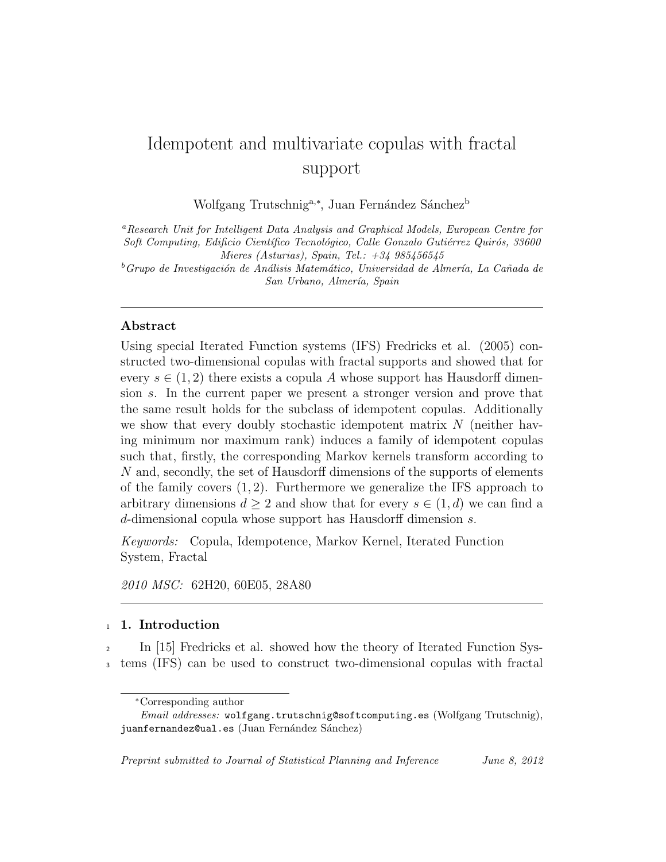# Idempotent and multivariate copulas with fractal support

Wolfgang Trutschnig<sup>a,∗</sup>, Juan Fernández Sánchez<sup>b</sup>

*<sup>a</sup>Research Unit for Intelligent Data Analysis and Graphical Models, European Centre for*  $Soft\ Computing, \ Edition$ *Computing, Edificio Científico Tecnológico, Calle Gonzalo Gutiérrez Quirós, 33600 Mieres (Asturias), Spain, Tel.: +34 985456545*

<sup>*b*</sup>Grupo de Investigación de Análisis Matemático, Universidad de Almería, La Cañada de *San Urbano, Almer´ıa, Spain*

#### **Abstract**

Using special Iterated Function systems (IFS) Fredricks et al. (2005) constructed two-dimensional copulas with fractal supports and showed that for every  $s \in (1, 2)$  there exists a copula A whose support has Hausdorff dimension *s*. In the current paper we present a stronger version and prove that the same result holds for the subclass of idempotent copulas. Additionally we show that every doubly stochastic idempotent matrix *N* (neither having minimum nor maximum rank) induces a family of idempotent copulas such that, firstly, the corresponding Markov kernels transform according to *N* and, secondly, the set of Hausdorff dimensions of the supports of elements of the family covers (1*,* 2). Furthermore we generalize the IFS approach to arbitrary dimensions  $d \geq 2$  and show that for every  $s \in (1, d)$  we can find a *d*-dimensional copula whose support has Hausdorff dimension *s*.

*Keywords:* Copula, Idempotence, Markov Kernel, Iterated Function System, Fractal

*2010 MSC:* 62H20, 60E05, 28A80

#### <sup>1</sup> **1. Introduction**

<sup>2</sup> In [15] Fredricks et al. showed how the theory of Iterated Function Sys-<sup>3</sup> tems (IFS) can be used to construct two-dimensional copulas with fractal

*<sup>∗</sup>*Corresponding author

*Email addresses:* wolfgang.trutschnig@softcomputing.es (Wolfgang Trutschnig), juanfernandez@ual.es (Juan Fernández Sánchez)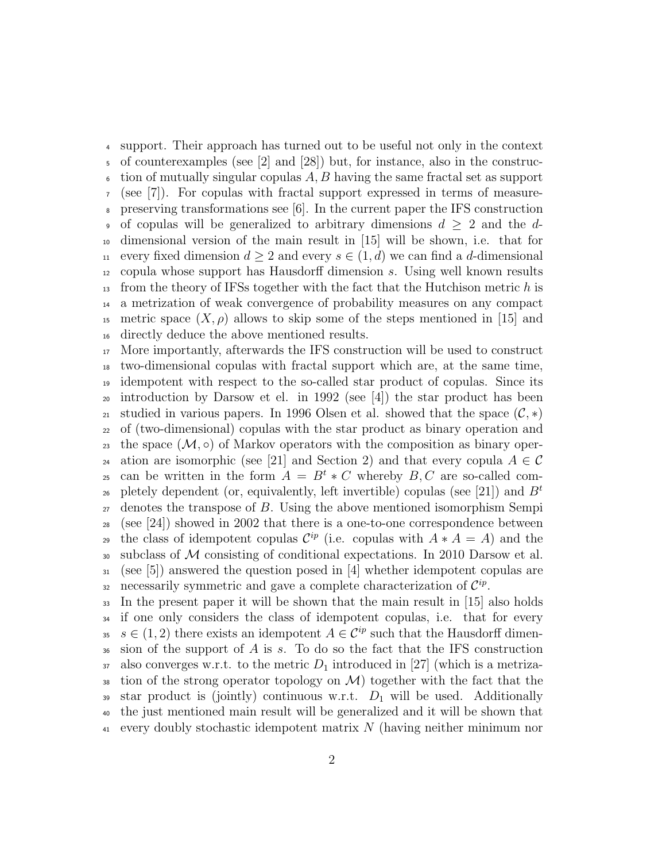support. Their approach has turned out to be useful not only in the context of counterexamples (see [2] and [28]) but, for instance, also in the construc- $\epsilon$  tion of mutually singular copulas A, B having the same fractal set as support (see [7]). For copulas with fractal support expressed in terms of measure- preserving transformations see [6]. In the current paper the IFS construction of copulas will be generalized to arbitrary dimensions *d ≥* 2 and the *d*- dimensional version of the main result in [15] will be shown, i.e. that for 11 every fixed dimension  $d \geq 2$  and every  $s \in (1, d)$  we can find a *d*-dimensional copula whose support has Hausdorff dimension *s*. Using well known results from the theory of IFSs together with the fact that the Hutchison metric *h* is a metrization of weak convergence of probability measures on any compact 15 metric space  $(X, \rho)$  allows to skip some of the steps mentioned in [15] and directly deduce the above mentioned results.

 More importantly, afterwards the IFS construction will be used to construct two-dimensional copulas with fractal support which are, at the same time, idempotent with respect to the so-called star product of copulas. Since its <sup>20</sup> introduction by Darsow et el. in 1992 (see [4]) the star product has been 21 studied in various papers. In 1996 Olsen et al. showed that the space  $(C, *)$  of (two-dimensional) copulas with the star product as binary operation and 23 the space  $(\mathcal{M}, \circ)$  of Markov operators with the composition as binary oper-<sup>24</sup> ation are isomorphic (see [21] and Section 2) and that every copula  $A \in \mathcal{C}$ can be written in the form  $A = B^t * C$  whereby  $B, C$  are so-called completely dependent (or, equivalently, left invertible) copulas (see [21]) and *B<sup>t</sup>* denotes the transpose of *B*. Using the above mentioned isomorphism Sempi  $28 \text{ (see [24]) showed in 2002 that there is a one-to-one correspondence between }$ the class of idempotent copulas  $\mathcal{C}^{ip}$  (i.e. copulas with  $A * A = A$ ) and the subclass of *M* consisting of conditional expectations. In 2010 Darsow et al. (see [5]) answered the question posed in [4] whether idempotent copulas are 32 necessarily symmetric and gave a complete characterization of  $\mathcal{C}^{ip}$ .

 In the present paper it will be shown that the main result in [15] also holds if one only considers the class of idempotent copulas, i.e. that for every <sup>35</sup>  $s \in (1, 2)$  there exists an idempotent  $A \in \mathcal{C}^{ip}$  such that the Hausdorff dimen- sion of the support of *A* is *s*. To do so the fact that the IFS construction also converges w.r.t. to the metric  $D_1$  introduced in [27] (which is a metriza- $\mathcal{A}$  is tion of the strong operator topology on  $\mathcal{M}$ ) together with the fact that the star product is (jointly) continuous w.r.t. *D*<sup>1</sup> will be used. Additionally the just mentioned main result will be generalized and it will be shown that every doubly stochastic idempotent matrix *N* (having neither minimum nor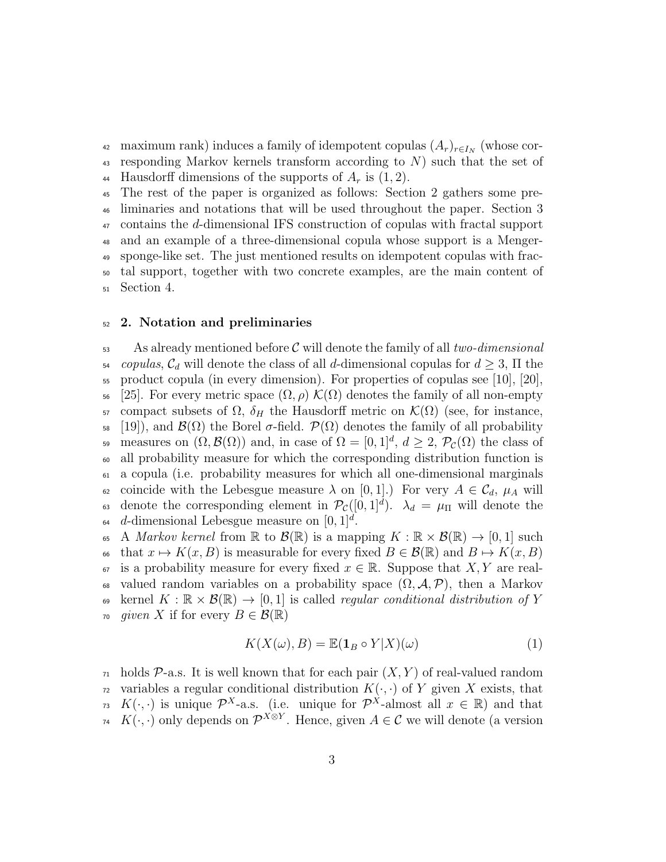maximum rank) induces a family of idempotent copulas (*Ar*)*<sup>r</sup>∈I<sup>N</sup>* <sup>42</sup> (whose cor-<sup>43</sup> responding Markov kernels transform according to *N*) such that the set of 44 Hausdorff dimensions of the supports of  $A_r$  is  $(1, 2)$ .

 The rest of the paper is organized as follows: Section 2 gathers some pre- liminaries and notations that will be used throughout the paper. Section 3 contains the *d*-dimensional IFS construction of copulas with fractal support and an example of a three-dimensional copula whose support is a Menger- sponge-like set. The just mentioned results on idempotent copulas with frac- tal support, together with two concrete examples, are the main content of Section 4.

## <sup>52</sup> **2. Notation and preliminaries**

<sup>53</sup> As already mentioned before *C* will denote the family of all *two-dimensional*  $\mathcal{L}_{q}$  *copulas*,  $\mathcal{C}_{d}$  will denote the class of all *d*-dimensional copulas for  $d \geq 3$ ,  $\Pi$  the  $\frac{55}{55}$  product copula (in every dimension). For properties of copulas see [10], [20], <sup>56</sup> [25]. For every metric space (Ω*, ρ*) *K*(Ω) denotes the family of all non-empty <sup>57</sup> compact subsets of  $\Omega$ ,  $\delta$ *H* the Hausdorff metric on  $\mathcal{K}(\Omega)$  (see, for instance, <sup>58</sup> [19]), and *B*(Ω) the Borel *σ*-field. *P*(Ω) denotes the family of all probability measures on  $(\Omega, \mathcal{B}(\Omega))$  and, in case of  $\Omega = [0, 1]^d$ ,  $d \geq 2$ ,  $\mathcal{P}_{\mathcal{C}}(\Omega)$  the class of <sup>60</sup> all probability measure for which the corresponding distribution function is <sup>61</sup> a copula (i.e. probability measures for which all one-dimensional marginals 62 coincide with the Lebesgue measure  $\lambda$  on [0, 1].) For very  $A \in \mathcal{C}_d$ ,  $\mu_A$  will denote the corresponding element in  $\mathcal{P}_{\mathcal{C}}([0,1]^d)$ .  $\lambda_d = \mu_{\Pi}$  will denote the  $\alpha$  *d*-dimensional Lebesgue measure on  $[0, 1]^d$ .

65 A *Markov kernel* from  $\mathbb R$  to  $\mathcal{B}(\mathbb R)$  is a mapping  $K : \mathbb R \times \mathcal{B}(\mathbb R) \to [0,1]$  such 66 that  $x \mapsto K(x, B)$  is measurable for every fixed  $B \in \mathcal{B}(\mathbb{R})$  and  $B \mapsto K(x, B)$ 67 is a probability measure for every fixed  $x \in \mathbb{R}$ . Suppose that *X*, *Y* are real-68 valued random variables on a probability space  $(\Omega, \mathcal{A}, \mathcal{P})$ , then a Markov 69 kernel  $K : \mathbb{R} \times \mathcal{B}(\mathbb{R}) \to [0,1]$  is called *regular conditional distribution of* Y *70 given X* if for every *B* ∈  $\mathcal{B}(\mathbb{R})$ 

$$
K(X(\omega), B) = \mathbb{E}(\mathbf{1}_B \circ Y | X)(\omega)
$$
 (1)

 $\tau_1$  holds  $\mathcal{P}\text{-a.s.}$  It is well known that for each pair  $(X, Y)$  of real-valued random  $\alpha$  variables a regular conditional distribution  $K(\cdot, \cdot)$  of Y given X exists, that *K*( $\cdot$ , $\cdot$ ) is unique  $\mathcal{P}^{X}$ -a.s. (i.e. unique for  $\mathcal{P}^{X}$ -almost all  $x \in \mathbb{R}$ ) and that *K*( $\cdot$ , $\cdot$ ) only depends on  $\mathcal{P}^{X \otimes Y}$ . Hence, given  $A \in \mathcal{C}$  we will denote (a version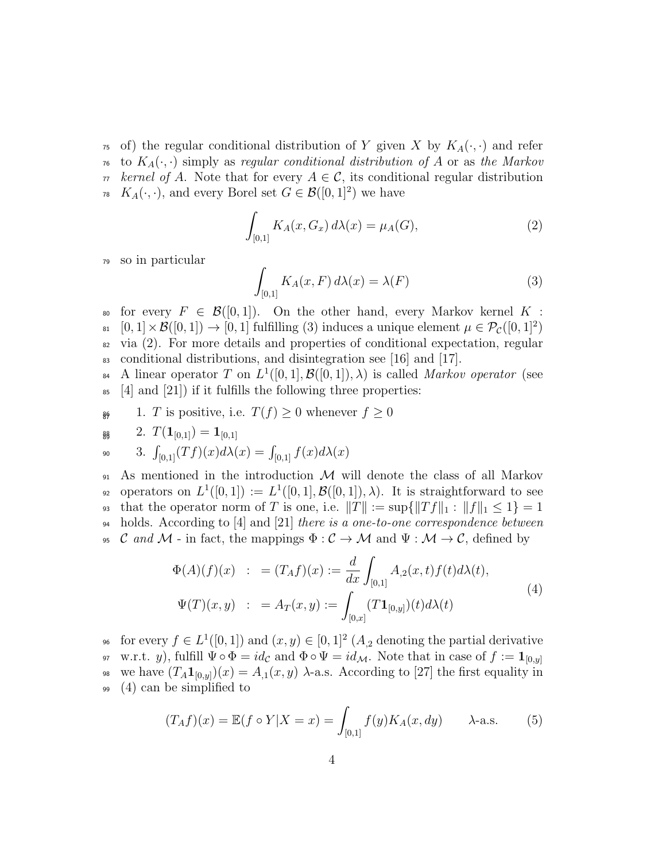$\tau$ <sup>5</sup> of) the regular conditional distribution of *Y* given *X* by  $K_A(\cdot, \cdot)$  and refer  $\tau_6$  to  $K_A(\cdot, \cdot)$  simply as *regular conditional distribution of* A or as the Markov  $\pi$  *kernel of A*. Note that for every  $A \in \mathcal{C}$ , its conditional regular distribution *K*<sub>*A*</sub>(*·*, *·*), and every Borel set *G*  $\in \mathcal{B}([0,1]^2)$  we have

$$
\int_{[0,1]} K_A(x, G_x) \, d\lambda(x) = \mu_A(G),\tag{2}
$$

<sup>79</sup> so in particular

$$
\int_{[0,1]} K_A(x, F) d\lambda(x) = \lambda(F) \tag{3}
$$

for every  $F \in \mathcal{B}([0,1])$ . On the other hand, every Markov kernel K:  $\mathcal{B}_{\text{B1}}$   $[0,1] \times \mathcal{B}([0,1]) \to [0,1]$  fulfilling (3) induces a unique element  $\mu \in \mathcal{P}_{\mathcal{C}}([0,1]^2)$  $\alpha$  via (2). For more details and properties of conditional expectation, regular <sup>83</sup> conditional distributions, and disintegration see [16] and [17].

 $\mathcal{B}_{4}$  A linear operator *T* on  $L^1([0,1], \mathcal{B}([0,1]), \lambda)$  is called *Markov operator* (see  $\mathfrak{so}$  [4] and [21]) if it fulfills the following three properties:

86 1. *T* is positive, i.e.  $T(f) \geq 0$  whenever  $f \geq 0$ 

$$
\mathsf{g}_{\mathsf{g}} \qquad 2. \ T(\mathbf{1}_{[0,1]}) = \mathbf{1}_{[0,1]}
$$

$$
\text{so} \qquad 3. \ \int_{[0,1]} (Tf)(x) d\lambda(x) = \int_{[0,1]} f(x) d\lambda(x)
$$

<sup>91</sup> As mentioned in the introduction *M* will denote the class of all Markov operators on  $L^1([0,1]) := L^1([0,1], \mathcal{B}([0,1]), \lambda)$ . It is straightforward to see 93 that the operator norm of *T* is one, i.e.  $||T|| := \sup{||Tf||_1 : ||f||_1 \le 1} = 1$ <sup>94</sup> holds. According to [4] and [21] *there is a one-to-one correspondence between* C and M - in fact, the mappings  $\Phi : \mathcal{C} \to \mathcal{M}$  and  $\Psi : \mathcal{M} \to \mathcal{C}$ , defined by

$$
\Phi(A)(f)(x) : = (T_A f)(x) := \frac{d}{dx} \int_{[0,1]} A_{,2}(x,t) f(t) d\lambda(t),
$$
  

$$
\Psi(T)(x,y) : = A_T(x,y) := \int_{[0,x]} (T\mathbf{1}_{[0,y]}) (t) d\lambda(t)
$$
 (4)

6 for every  $f \in L^1([0,1])$  and  $(x, y) \in [0,1]^2$   $(A, z)$  denoting the partial derivative w.r.t. *y*), fulfill  $\Psi \circ \Phi = id_{\mathcal{C}}$  and  $\Phi \circ \Psi = id_{\mathcal{M}}$ . Note that in case of  $f := \mathbf{1}_{[0,y]}$ 97 98 we have  $(T_A \mathbf{1}_{[0,y]}) (x) = A_{,1}(x, y)$   $\lambda$ -a.s. According to [27] the first equality in  $(4)$  can be simplified to

$$
(T_A f)(x) = \mathbb{E}(f \circ Y | X = x) = \int_{[0,1]} f(y) K_A(x, dy) \qquad \lambda\text{-a.s.} \tag{5}
$$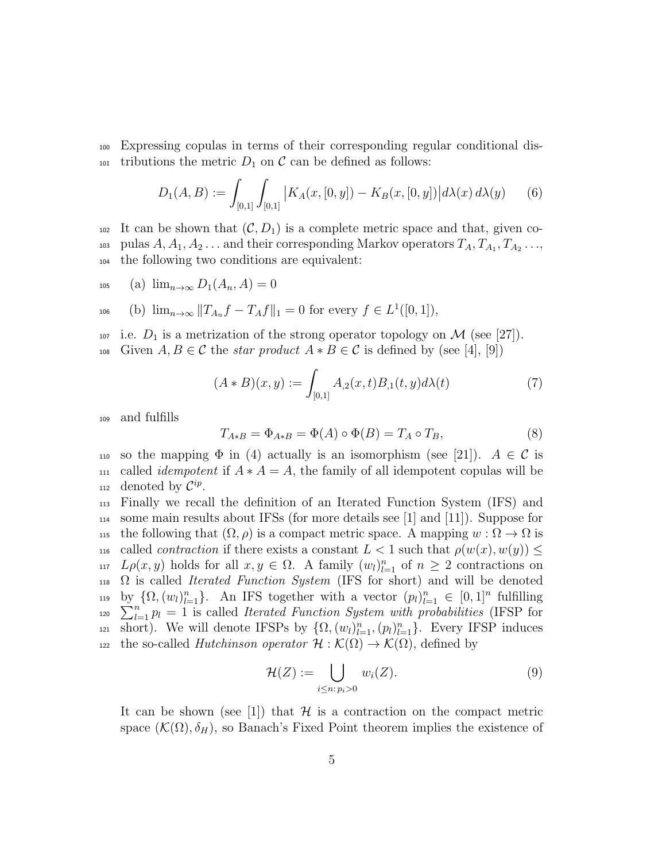<sup>100</sup> Expressing copulas in terms of their corresponding regular conditional dis-101 tributions the metric  $D_1$  on  $\mathcal C$  can be defined as follows:

$$
D_1(A, B) := \int_{[0,1]} \int_{[0,1]} |K_A(x, [0, y]) - K_B(x, [0, y])| d\lambda(x) d\lambda(y) \qquad (6)
$$

102 It can be shown that  $(C, D_1)$  is a complete metric space and that, given co- $P_{103}$  pulas  $A, A_1, A_2, \ldots$  and their corresponding Markov operators  $T_A, T_{A_1}, T_{A_2}, \ldots$ <sup>104</sup> the following two conditions are equivalent:

$$
105 \qquad \text{(a)} \ \lim_{n \to \infty} D_1(A_n, A) = 0
$$

$$
106 \t\t(b) \lim_{n \to \infty} ||T_{A_n}f - T_Af||_1 = 0 \tfor every f \in L^1([0,1]),
$$

107 i.e.  $D_1$  is a metrization of the strong operator topology on M (see [27]). 108 Given *A*, *B* ∈ *C* the *star product*  $A * B ∈ C$  is defined by (see [4], [9])

$$
(A * B)(x, y) := \int_{[0,1]} A_{,2}(x, t) B_{,1}(t, y) d\lambda(t)
$$
\n(7)

<sup>109</sup> and fulfills

$$
T_{A*B} = \Phi_{A*B} = \Phi(A) \circ \Phi(B) = T_A \circ T_B,\tag{8}
$$

110 so the mapping  $\Phi$  in (4) actually is an isomorphism (see [21]).  $A \in \mathcal{C}$  is 111 called *idempotent* if  $A * A = A$ , the family of all idempotent copulas will be 112 denoted by  $\mathcal{C}^{ip}$ .

<sup>113</sup> Finally we recall the definition of an Iterated Function System (IFS) and  $_{114}$  some main results about IFSs (for more details see [1] and [11]). Suppose for 115 the following that  $(\Omega, \rho)$  is a compact metric space. A mapping  $w : \Omega \to \Omega$  is 116 called *contraction* if there exists a constant  $L < 1$  such that  $\rho(w(x), w(y)) \leq$ *Lρ*(*x, y*) holds for all  $x, y \in \Omega$ . A family  $(w_l)_{l=1}^n$  of  $n \geq 2$  contractions on <sup>118</sup> Ω is called *Iterated Function System* (IFS for short) and will be denoted by  $\{\Omega, (w_l)_{l=1}^n\}$ . An IFS together with a vector  $(p_l)_{l=1}^n \in [0,1]^n$  fulfilling 119  $\sum_{l=1}^{n} p_l = 1$  is called *Iterated Function System with probabilities* (IFSP for short). We will denote IFSPs by  $\{\Omega, (w_l)_{l=1}^n, (p_l)_{l=1}^n\}$ . Every IFSP induces 122 the so-called *Hutchinson operator*  $\mathcal{H} : \mathcal{K}(\Omega) \to \mathcal{K}(\Omega)$ , defined by

$$
\mathcal{H}(Z) := \bigcup_{i \leq n:\, p_i > 0} w_i(Z). \tag{9}
$$

It can be shown (see [1]) that  $H$  is a contraction on the compact metric space  $(\mathcal{K}(\Omega), \delta_H)$ , so Banach's Fixed Point theorem implies the existence of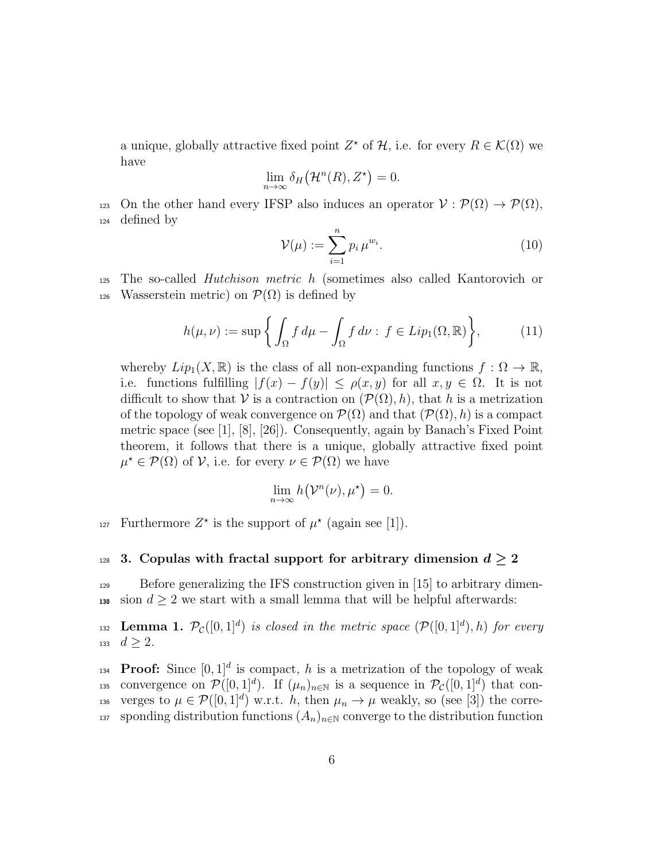a unique, globally attractive fixed point  $Z^*$  of  $H$ , i.e. for every  $R \in \mathcal{K}(\Omega)$  we have

$$
\lim_{n \to \infty} \delta_H(\mathcal{H}^n(R), Z^{\star}) = 0.
$$

123 On the other hand every IFSP also induces an operator  $V : \mathcal{P}(\Omega) \to \mathcal{P}(\Omega)$ , <sup>124</sup> defined by

$$
\mathcal{V}(\mu) := \sum_{i=1}^{n} p_i \,\mu^{w_i}.\tag{10}
$$

<sup>125</sup> The so-called *Hutchison metric h* (sometimes also called Kantorovich or 126 Wasserstein metric) on  $\mathcal{P}(\Omega)$  is defined by

$$
h(\mu, \nu) := \sup \left\{ \int_{\Omega} f d\mu - \int_{\Omega} f d\nu : f \in Lip_1(\Omega, \mathbb{R}) \right\},\tag{11}
$$

whereby  $Lip_1(X,\mathbb{R})$  is the class of all non-expanding functions  $f:\Omega\to\mathbb{R}$ , i.e. functions fulfilling  $|f(x) - f(y)| \le \rho(x, y)$  for all  $x, y \in \Omega$ . It is not difficult to show that *V* is a contraction on  $(\mathcal{P}(\Omega), h)$ , that *h* is a metrization of the topology of weak convergence on  $\mathcal{P}(\Omega)$  and that  $(\mathcal{P}(\Omega), h)$  is a compact metric space (see [1], [8], [26]). Consequently, again by Banach's Fixed Point theorem, it follows that there is a unique, globally attractive fixed point  $\mu^* \in \mathcal{P}(\Omega)$  of *V*, i.e. for every  $\nu \in \mathcal{P}(\Omega)$  we have

$$
\lim_{n \to \infty} h(\mathcal{V}^n(\nu), \mu^*) = 0.
$$

Furthermore  $Z^*$  is the support of  $\mu^*$  (again see [1]).

## 128 **3.** Copulas with fractal support for arbitrary dimension  $d \geq 2$

 $129$  Before generalizing the IFS construction given in [15] to arbitrary dimen-130 sion  $d \geq 2$  we start with a small lemma that will be helpful afterwards:

**Lemma 1.**  $\mathcal{P}_{\mathcal{C}}([0,1]^d)$  *is closed in the metric space*  $(\mathcal{P}([0,1]^d), h)$  *for every* 133 *d*  $\geq$  2*.* 

**Proof:** Since  $[0,1]^d$  is compact, h is a metrization of the topology of weak convergence on  $\mathcal{P}([0,1]^d)$ . If  $(\mu_n)_{n\in\mathbb{N}}$  is a sequence in  $\mathcal{P}_{\mathcal{C}}([0,1]^d)$  that converges to  $\mu \in \mathcal{P}([0,1]^d)$  w.r.t. *h*, then  $\mu_n \to \mu$  weakly, so (see [3]) the corre-137 sponding distribution functions  $(A_n)_{n\in\mathbb{N}}$  converge to the distribution function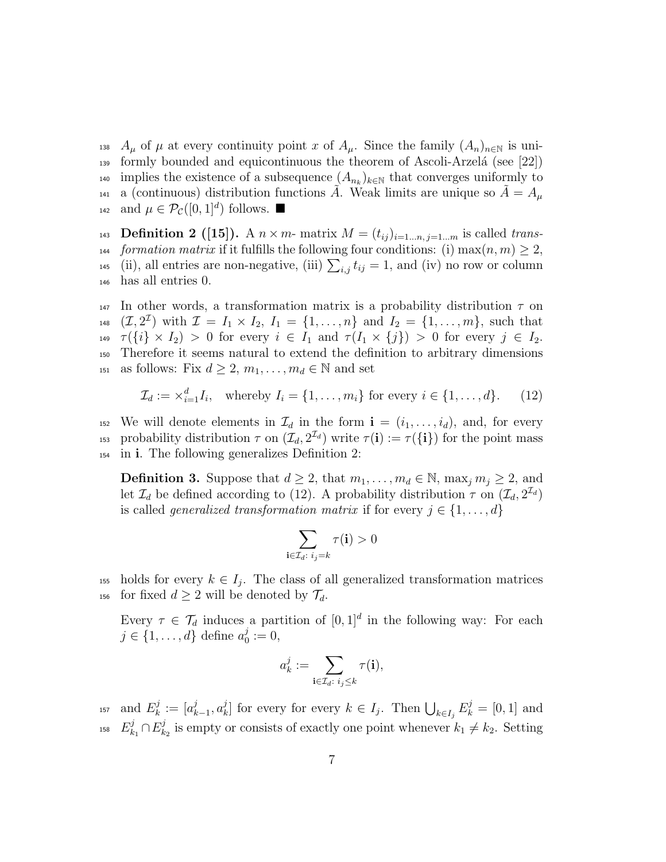138 *A<sub>µ</sub>* of  $\mu$  at every continuity point *x* of  $A_{\mu}$ . Since the family  $(A_n)_{n\in\mathbb{N}}$  is uni- $_{139}$  formly bounded and equicontinuous the theorem of Ascoli-Arzelá (see [22]) implies the existence of a subsequence  $(A_{n_k})_{k \in \mathbb{N}}$  that converges uniformly to a (continuous) distribution functions A. Weak limits are unique so  $A = A<sub>u</sub>$  $_{142}$  and  $\mu \in \mathcal{P}_{\mathcal{C}}([0,1]^d)$  follows. ■

**Definition 2** ([15]). A  $n \times m$ - matrix  $M = (t_{ij})_{i=1...n, j=1...m}$  is called *trans*-*formation matrix* if it fulfills the following four conditions: (i)  $\max(n, m) \geq 2$ , <sup>145</sup> (ii), all entries are non-negative, (iii)  $\sum_{i,j} t_{ij} = 1$ , and (iv) no row or column has all entries 0.

<sup>147</sup> In other words, a transformation matrix is a probability distribution *τ* on  $(1.48 \quad (\mathcal{I}, 2^{\mathcal{I}}) \text{ with } \mathcal{I} = I_1 \times I_2, I_1 = \{1, \ldots, n\} \text{ and } I_2 = \{1, \ldots, m\}, \text{ such that }$ 149  $\tau(\{i\} \times I_2) > 0$  for every  $i \in I_1$  and  $\tau(I_1 \times \{j\}) > 0$  for every  $j \in I_2$ . <sup>150</sup> Therefore it seems natural to extend the definition to arbitrary dimensions 151 as follows: Fix  $d \geq 2, m_1, \ldots, m_d \in \mathbb{N}$  and set

$$
\mathcal{I}_d := \times_{i=1}^d I_i, \quad \text{whereby } I_i = \{1, \dots, m_i\} \text{ for every } i \in \{1, \dots, d\}. \tag{12}
$$

152 We will denote elements in  $\mathcal{I}_d$  in the form  $\mathbf{i} = (i_1, \ldots, i_d)$ , and, for every 153 probability distribution  $\tau$  on  $(\mathcal{I}_d, 2^{\mathcal{I}_d})$  write  $\tau(i) := \tau(\{i\})$  for the point mass <sup>154</sup> in **i**. The following generalizes Definition 2:

**Definition 3.** Suppose that  $d \geq 2$ , that  $m_1, \ldots, m_d \in \mathbb{N}$ ,  $\max_j m_j \geq 2$ , and let  $\mathcal{I}_d$  be defined according to (12). A probability distribution  $\tau$  on  $(\mathcal{I}_d, 2^{\mathcal{I}_d})$ is called *generalized transformation matrix* if for every  $j \in \{1, \ldots, d\}$ 

$$
\sum_{\mathbf i\in\mathcal I_d:\;i_j=k}\tau(\mathbf i)>0
$$

the holds for every  $k \in I_j$ . The class of all generalized transformation matrices 156 for fixed  $d \geq 2$  will be denoted by  $\mathcal{T}_d$ .

Every  $\tau \in \mathcal{T}_d$  induces a partition of  $[0,1]^d$  in the following way: For each *j* ∈ {1, . . . , *d*} define  $a_0^j$  $_{0}^{j}:=0,$ 

$$
a_k^j:=\sum_{\mathbf{i}\in\mathcal{I}_d:\;i_j\leq k}\tau(\mathbf{i}),
$$

and  $E_k^j$  $a_k^j := [a_k^j]$ *k−*1 *, a j*  $E_k^j := [a_{k-1}^j, a_k^j]$  for every for every  $k \in I_j$ . Then  $\bigcup_{k \in I_j} E_k^j = [0, 1]$  and  $E^j_k$  $\frac{j}{k_1}$ ∩ $E^j_k$ <sup>158</sup>  $E_{k_1}^j \cap E_{k_2}^j$  is empty or consists of exactly one point whenever  $k_1 \neq k_2$ . Setting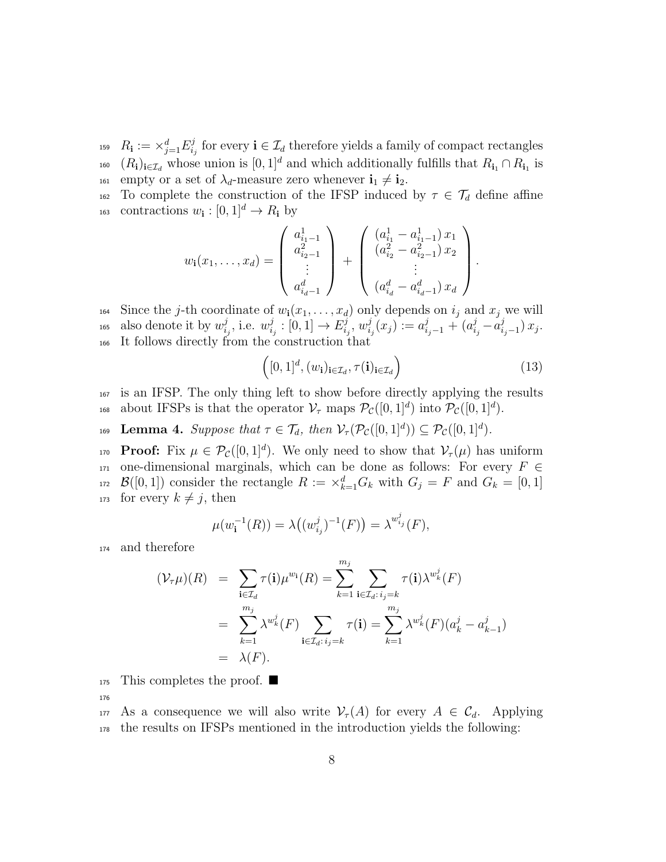$R_{\bf i} := \times_{j=1}^d E_i^j$ <sup>159</sup>  $R_{\bf i} := \times_{j=1}^d E_{i_j}^j$  for every  ${\bf i} \in \mathcal{I}_d$  therefore yields a family of compact rectangles <sup>160</sup>  $(R_i)_{i \in \mathcal{I}_d}$  whose union is  $[0, 1]^d$  and which additionally fulfills that  $R_{i_1} \cap R_{i_1}$  is  $\text{161}$  empty or a set of  $\lambda_d$ -measure zero whenever  $\mathbf{i}_1 \neq \mathbf{i}_2$ .

162 To complete the construction of the IFSP induced by  $\tau \in \mathcal{T}_d$  define affine <sup>163</sup> contractions  $w_i : [0, 1]^d \to R_i$  by

$$
w_{\mathbf{i}}(x_1, \dots, x_d) = \begin{pmatrix} a_{i_1-1}^1 \\ a_{i_2-1}^2 \\ \vdots \\ a_{i_d-1}^d \end{pmatrix} + \begin{pmatrix} (a_{i_1}^1 - a_{i_1-1}^1) x_1 \\ (a_{i_2}^2 - a_{i_2-1}^2) x_2 \\ \vdots \\ (a_{i_d}^d - a_{i_d-1}^d) x_d \end{pmatrix}
$$

164 Since the *j*-th coordinate of  $w_i(x_1, \ldots, x_d)$  only depends on  $i_j$  and  $x_j$  we will also denote it by  $w_i^j$  $\frac{j}{i_j}$ , i.e.  $w_i^j$  $\frac{j}{i_j} : [0,1] \to E^j_{i_j}$  $\hat{u}_j^j, w_i^j$  $a_{i_j}^j(x_j) := a_{i_j-1}^j + (a_{i_j}^j - a_{i_j}^j)$  $\alpha_{i,j}^2 = \alpha_{i,j}^2 - \alpha_{i,j}^2 - \alpha_{i,j}^2$ , i.e.  $w_{i,j}^j : [0,1] \to E_{i,j}^j, w_{i,j}^j(x_j) := a_{i,j-1}^j + (a_{i,j}^j - a_{i,j-1}^j) x_j.$ <sup>166</sup> It follows directly from the construction that

$$
\left([0,1]^d, (w_i)_{i \in \mathcal{I}_d}, \tau(i)_{i \in \mathcal{I}_d}\right) \tag{13}
$$

*.*

<sup>167</sup> is an IFSP. The only thing left to show before directly applying the results about IFSPs is that the operator  $\mathcal{V}_{\tau}$  maps  $\mathcal{P}_{\mathcal{C}}([0,1]^d)$  into  $\mathcal{P}_{\mathcal{C}}([0,1]^d)$ .

**Lemma 4.** Suppose that  $\tau \in \mathcal{T}_d$ *, then*  $\mathcal{V}_\tau(\mathcal{P}_{\mathcal{C}}([0,1]^d)) \subseteq \mathcal{P}_{\mathcal{C}}([0,1]^d)$ *.* 

**Proof:** Fix  $\mu \in \mathcal{P}_{\mathcal{C}}([0,1]^d)$ . We only need to show that  $\mathcal{V}_{\tau}(\mu)$  has uniform <sup>171</sup> one-dimensional marginals, which can be done as follows: For every *F ∈ B*([0,1]) consider the rectangle  $R := \times_{k=1}^{d} G_k$  with  $G_j = F$  and  $G_k = [0, 1]$ 173 for every  $k \neq j$ , then

$$
\mu(w_i^{-1}(R)) = \lambda((w_{i_j}^j)^{-1}(F)) = \lambda^{w_{i_j}^j}(F),
$$

<sup>174</sup> and therefore

$$
(\mathcal{V}_{\tau}\mu)(R) = \sum_{\mathbf{i}\in\mathcal{I}_{d}} \tau(\mathbf{i})\mu^{w_{\mathbf{i}}}(R) = \sum_{k=1}^{m_{j}} \sum_{\mathbf{i}\in\mathcal{I}_{d}: i_{j}=k} \tau(\mathbf{i})\lambda^{w_{k}^{j}}(F)
$$
  
= 
$$
\sum_{k=1}^{m_{j}} \lambda^{w_{k}^{j}}(F) \sum_{\mathbf{i}\in\mathcal{I}_{d}: i_{j}=k} \tau(\mathbf{i}) = \sum_{k=1}^{m_{j}} \lambda^{w_{k}^{j}}(F)(a_{k}^{j} - a_{k-1}^{j})
$$
  
= 
$$
\lambda(F).
$$

 $175$  This completes the proof.  $\blacksquare$ 

176

177 As a consequence we will also write  $\mathcal{V}_{\tau}(A)$  for every  $A \in \mathcal{C}_d$ . Applying <sup>178</sup> the results on IFSPs mentioned in the introduction yields the following: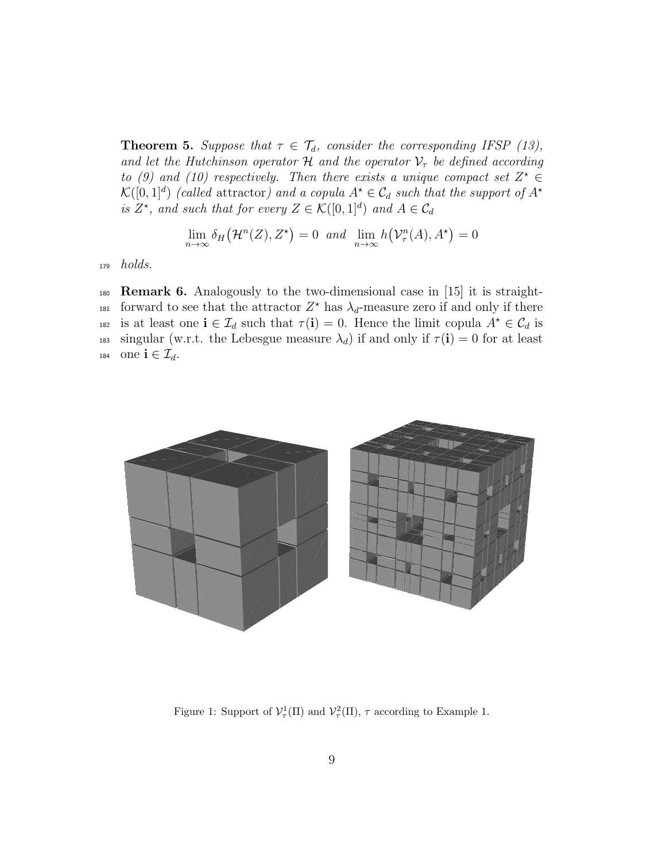**Theorem 5.** *Suppose that*  $\tau \in \mathcal{T}_d$ *, consider the corresponding IFSP (13), and let the Hutchinson operator*  $H$  *and the operator*  $V<sub>\tau</sub>$  *be defined according to* (9) and (10) respectively. Then there exists a unique compact set  $Z^* \in$  $\mathcal{K}([0,1]^d)$  *(called* attractor) and a copula  $A^* \in \mathcal{C}_d$  such that the support of  $A^*$ *is*  $Z^*$ *, and such that for every*  $Z \in \mathcal{K}([0,1]^d)$  *and*  $A \in \mathcal{C}_d$ 

$$
\lim_{n \to \infty} \delta_H(\mathcal{H}^n(Z), Z^{\star}) = 0 \text{ and } \lim_{n \to \infty} h(\mathcal{V}^n_{\tau}(A), A^{\star}) = 0
$$

<sup>179</sup> *holds.*

<sup>180</sup> **Remark 6.** Analogously to the two-dimensional case in [15] it is straightforward to see that the attractor  $Z^*$  has  $\lambda_d$ -measure zero if and only if there is at least one  $\mathbf{i} \in \mathcal{I}_d$  such that  $\tau(\mathbf{i}) = 0$ . Hence the limit copula  $A^* \in \mathcal{C}_d$  is 183 singular (w.r.t. the Lebesgue measure  $\lambda_d$ ) if and only if  $\tau(i) = 0$  for at least 184 one  $\mathbf{i} \in \mathcal{I}_d$ .



Figure 1: Support of  $\mathcal{V}_\tau^1(\Pi)$  and  $\mathcal{V}_\tau^2(\Pi)$ ,  $\tau$  according to Example 1.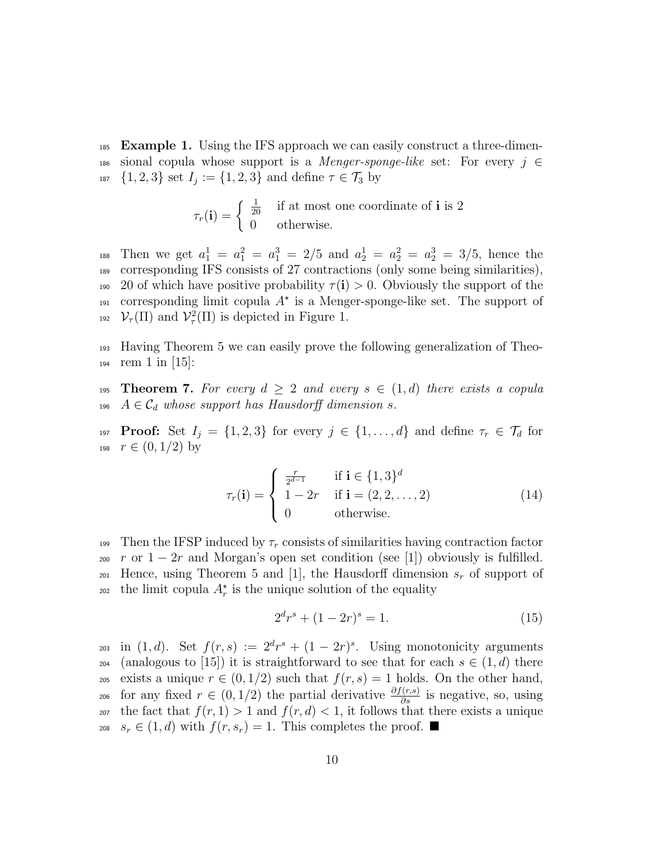<sup>185</sup> **Example 1.** Using the IFS approach we can easily construct a three-dimen-<sup>186</sup> sional copula whose support is a *Menger-sponge-like* set: For every *j ∈*  $_{187}$  {1*,* 2*,* 3*}* set  $I_j := \{1, 2, 3\}$  and define  $\tau \in \mathcal{T}_3$  by

$$
\tau_r(\mathbf{i}) = \begin{cases} \frac{1}{20} & \text{if at most one coordinate of } \mathbf{i} \text{ is } 2\\ 0 & \text{otherwise.} \end{cases}
$$

188 Then we get  $a_1^1 = a_1^2 = a_1^3 = 2/5$  and  $a_2^1 = a_2^2 = a_2^3 = 3/5$ , hence the <sup>189</sup> corresponding IFS consists of 27 contractions (only some being similarities), 190 20 of which have positive probability  $\tau(i) > 0$ . Obviously the support of the 191 corresponding limit copula  $A^*$  is a Menger-sponge-like set. The support of <sup>192</sup>  $\mathcal{V}_\tau(\Pi)$  and  $\mathcal{V}_\tau^2(\Pi)$  is depicted in Figure 1.

<sup>193</sup> Having Theorem 5 we can easily prove the following generalization of Theo-194 rem  $1 \text{ in } |15|$ :

**195 Theorem 7.** For every  $d \geq 2$  and every  $s \in (1, d)$  there exists a copula 196  $A \in \mathcal{C}_d$  whose support has Hausdorff dimension *s*.

**Proof:** Set  $I_j = \{1, 2, 3\}$  for every  $j \in \{1, ..., d\}$  and define  $\tau_r \in \mathcal{T}_d$  for 198  $r \in (0, 1/2)$  by

$$
\tau_r(\mathbf{i}) = \begin{cases}\n\frac{r}{2^{d-1}} & \text{if } \mathbf{i} \in \{1,3\}^d \\
1 - 2r & \text{if } \mathbf{i} = (2, 2, \dots, 2) \\
0 & \text{otherwise.}\n\end{cases} \tag{14}
$$

199 Then the IFSP induced by  $\tau_r$  consists of similarities having contraction factor <sup>200</sup> *r* or 1 *−* 2*r* and Morgan's open set condition (see [1]) obviously is fulfilled. <sup>201</sup> Hence, using Theorem 5 and [1], the Hausdorff dimension *s<sup>r</sup>* of support of the limit copula  $A_r^*$  is the unique solution of the equality

$$
2^d r^s + (1 - 2r)^s = 1.
$$
\n(15)

 $\lim_{z \to 0} (1, d)$ . Set  $f(r, s) := 2^d r^s + (1 - 2r)^s$ . Using monotonicity arguments 204 (analogous to [15]) it is straightforward to see that for each  $s \in (1, d)$  there 205 exists a unique  $r \in (0, 1/2)$  such that  $f(r, s) = 1$  holds. On the other hand, for any fixed  $r \in (0, 1/2)$  the partial derivative  $\frac{\partial f(r,s)}{\partial s}$  is negative, so, using <sup>207</sup> the fact that  $f(r, 1) > 1$  and  $f(r, d) < 1$ , it follows that there exists a unique 208 *s*<sub>*r*</sub> ∈ (1, *d*) with  $f(r, s_r) = 1$ . This completes the proof. ■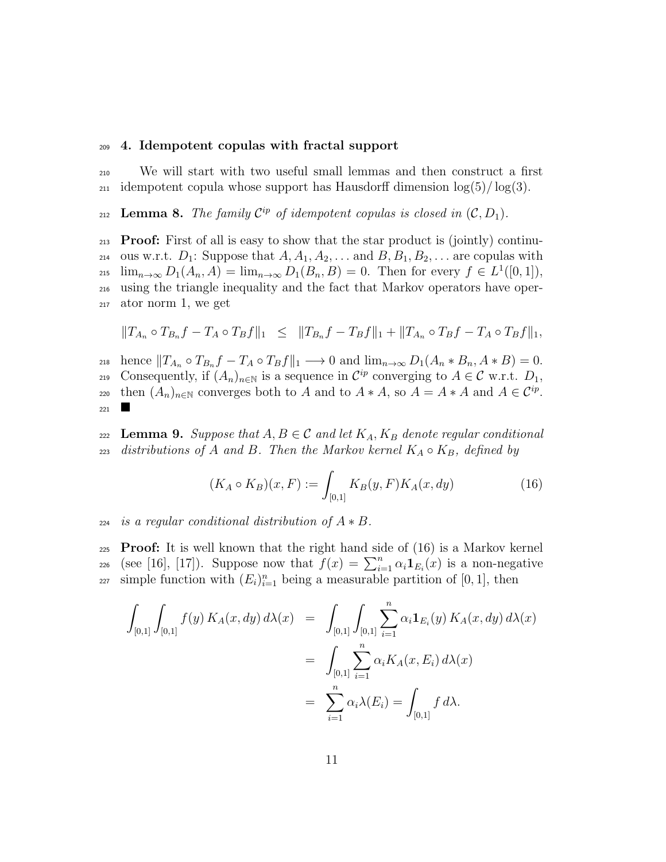#### <sup>209</sup> **4. Idempotent copulas with fractal support**

<sup>210</sup> We will start with two useful small lemmas and then construct a first  $_{211}$  idempotent copula whose support has Hausdorff dimension  $\log(5)/\log(3)$ .

**Lemma 8.** *The family*  $\mathcal{C}^{ip}$  *of idempotent copulas is closed in*  $(\mathcal{C}, D_1)$ *.* 

<sup>213</sup> **Proof:** First of all is easy to show that the star product is (jointly) continu-<sup>214</sup> ous w.r.t.  $D_1$ : Suppose that  $A, A_1, A_2, \ldots$  and  $B, B_1, B_2, \ldots$  are copulas with  $\lim_{n\to\infty} D_1(A_n, A) = \lim_{n\to\infty} D_1(B_n, B) = 0.$  Then for every  $f \in L^1([0, 1]),$ <sup>216</sup> using the triangle inequality and the fact that Markov operators have oper-<sup>217</sup> ator norm 1, we get

$$
||T_{A_n} \circ T_{B_n}f - T_A \circ T_Bf||_1 \leq ||T_{B_n}f - T_Bf||_1 + ||T_{A_n} \circ T_Bf - T_A \circ T_Bf||_1,
$$

218 hence  $||T_{A_n} \circ T_{B_n}f - T_A \circ T_Bf||_1 \longrightarrow 0$  and  $\lim_{n\to\infty} D_1(A_n * B_n, A * B) = 0$ . Consequently, if  $(A_n)_{n\in\mathbb{N}}$  is a sequence in  $\mathcal{C}^{ip}$  converging to  $A \in \mathcal{C}$  w.r.t.  $D_1$ , then  $(A_n)_{n\in\mathbb{N}}$  converges both to *A* and to  $A * A$ , so  $A = A * A$  and  $A \in \mathcal{C}^{ip}$ . <sup>221</sup>

222 **Lemma 9.** Suppose that  $A, B \in \mathcal{C}$  and let  $K_A, K_B$  denote regular conditional 223 *distributions of A and B.* Then the Markov kernel  $K_A \circ K_B$ *, defined by* 

$$
(K_A \circ K_B)(x, F) := \int_{[0,1]} K_B(y, F) K_A(x, dy)
$$
 (16)

#### $224$  *is a regular conditional distribution of*  $A * B$ .

<sup>225</sup> **Proof:** It is well known that the right hand side of (16) is a Markov kernel (see [16], [17]). Suppose now that  $f(x) = \sum_{i=1}^{n} \alpha_i \mathbf{1}_{E_i}(x)$  is a non-negative  $\sum_{i=1}^{227}$  simple function with  $(E_i)_{i=1}^n$  being a measurable partition of [0, 1], then

$$
\int_{[0,1]} \int_{[0,1]} f(y) K_A(x, dy) d\lambda(x) = \int_{[0,1]} \int_{[0,1]} \sum_{i=1}^n \alpha_i \mathbf{1}_{E_i}(y) K_A(x, dy) d\lambda(x)
$$

$$
= \int_{[0,1]} \sum_{i=1}^n \alpha_i K_A(x, E_i) d\lambda(x)
$$

$$
= \sum_{i=1}^n \alpha_i \lambda(E_i) = \int_{[0,1]} f d\lambda.
$$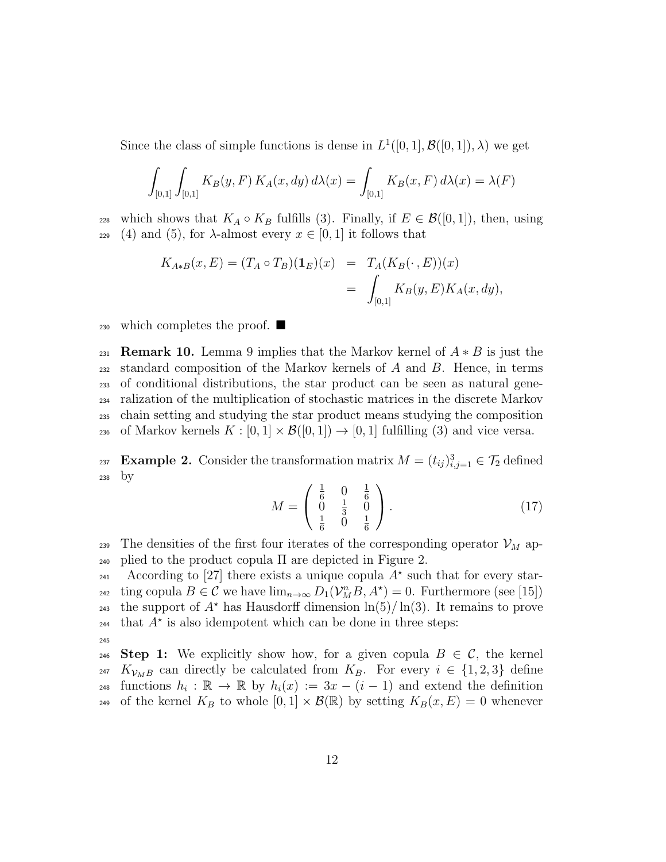Since the class of simple functions is dense in  $L^1([0,1], \mathcal{B}([0,1]), \lambda)$  we get

$$
\int_{[0,1]} \int_{[0,1]} K_B(y, F) K_A(x, dy) d\lambda(x) = \int_{[0,1]} K_B(x, F) d\lambda(x) = \lambda(F)
$$

228 which shows that  $K_A \circ K_B$  fulfills (3). Finally, if  $E \in \mathcal{B}([0,1])$ , then, using 229 (4) and (5), for  $\lambda$ -almost every  $x \in [0,1]$  it follows that

$$
K_{A*B}(x, E) = (T_A \circ T_B)(\mathbf{1}_E)(x) = T_A(K_B(\cdot, E))(x)
$$
  
= 
$$
\int_{[0,1]} K_B(y, E) K_A(x, dy),
$$

230 which completes the proof.  $\blacksquare$ 

**Remark 10.** Lemma 9 implies that the Markov kernel of  $A * B$  is just the standard composition of the Markov kernels of *A* and *B*. Hence, in terms of conditional distributions, the star product can be seen as natural gene- ralization of the multiplication of stochastic matrices in the discrete Markov chain setting and studying the star product means studying the composition 236 of Markov kernels  $K : [0,1] \times \mathcal{B}([0,1]) \to [0,1]$  fulfilling (3) and vice versa.

**Example 2.** Consider the transformation matrix  $M = (t_{ij})_{i,j=1}^3 \in \mathcal{T}_2$  defined <sup>238</sup> by

$$
M = \begin{pmatrix} \frac{1}{6} & 0 & \frac{1}{6} \\ 0 & \frac{1}{3} & 0 \\ \frac{1}{6} & 0 & \frac{1}{6} \end{pmatrix} .
$$
 (17)

239 The densities of the first four iterates of the corresponding operator  $\mathcal{V}_M$  ap-<sup>240</sup> plied to the product copula Π are depicted in Figure 2.

According to [27] there exists a unique copula  $A^*$  such that for every starting copula  $B \in \mathcal{C}$  we have  $\lim_{n \to \infty} D_1(\mathcal{V}_M^n B, A^*) = 0$ . Furthermore (see [15]) the support of  $A^*$  has Hausdorff dimension  $\ln(5)/\ln(3)$ . It remains to prove  $t_{244}$  that  $A^*$  is also idempotent which can be done in three steps: 245

246 **Step 1:** We explicitly show how, for a given copula  $B \in \mathcal{C}$ , the kernel  $K_{\mathcal{V}_{MB}}$  can directly be calculated from  $K_B$ . For every  $i \in \{1,2,3\}$  define  $h_i: \mathbb{R} \to \mathbb{R}$  by  $h_i(x) := 3x - (i-1)$  and extend the definition 249 of the kernel  $K_B$  to whole  $[0,1] \times \mathcal{B}(\mathbb{R})$  by setting  $K_B(x, E) = 0$  whenever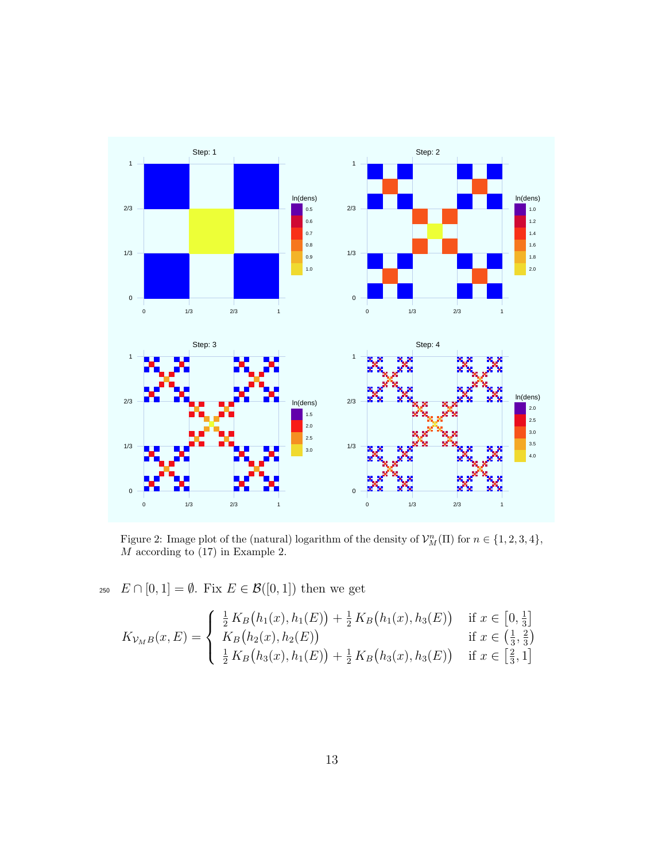

Figure 2: Image plot of the (natural) logarithm of the density of  $\mathcal{V}_M^n(\Pi)$  for  $n \in \{1, 2, 3, 4\}$ , *M* according to (17) in Example 2.

250  $E \cap [0,1] = \emptyset$ . Fix  $E \in \mathcal{B}([0,1])$  then we get

$$
K_{\mathcal{V}_M B}(x, E) = \begin{cases} \frac{1}{2} K_B(h_1(x), h_1(E)) + \frac{1}{2} K_B(h_1(x), h_3(E)) & \text{if } x \in [0, \frac{1}{3}]\\ K_B(h_2(x), h_2(E)) & \text{if } x \in (\frac{1}{3}, \frac{2}{3})\\ \frac{1}{2} K_B(h_3(x), h_1(E)) + \frac{1}{2} K_B(h_3(x), h_3(E)) & \text{if } x \in [\frac{2}{3}, 1] \end{cases}
$$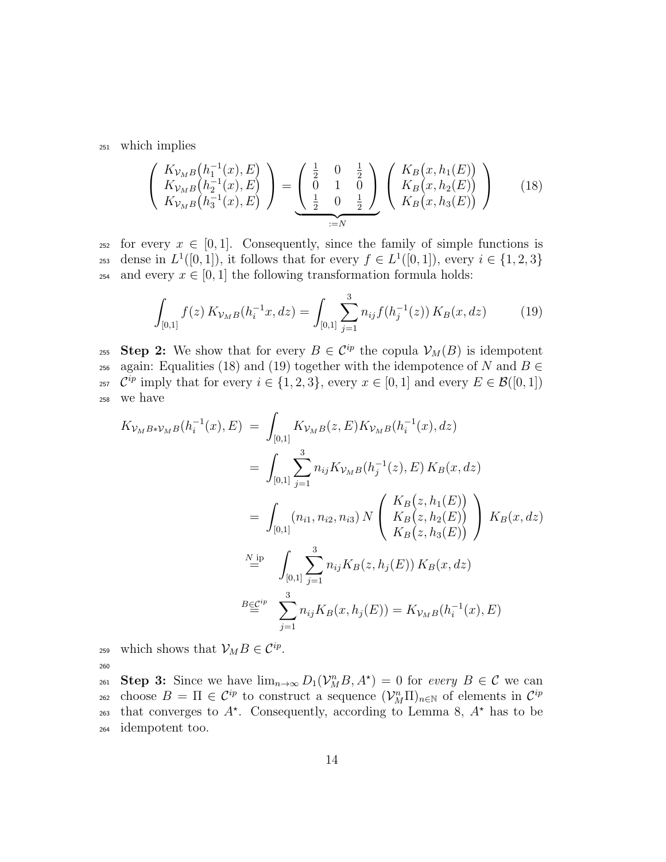<sup>251</sup> which implies

$$
\begin{pmatrix}\nK_{\mathcal{V}_{MB}}(h_1^{-1}(x), E) \\
K_{\mathcal{V}_{MB}}(h_2^{-1}(x), E) \\
K_{\mathcal{V}_{MB}}(h_3^{-1}(x), E)\n\end{pmatrix} = \underbrace{\begin{pmatrix} \frac{1}{2} & 0 & \frac{1}{2} \\ 0 & 1 & 0 \\ \frac{1}{2} & 0 & \frac{1}{2} \end{pmatrix}}_{:=N} \begin{pmatrix} K_B(x, h_1(E)) \\
K_B(x, h_2(E)) \\
K_B(x, h_3(E)) \end{pmatrix}
$$
\n(18)

<sup>252</sup> for every  $x \in [0,1]$ . Consequently, since the family of simple functions is dense in  $L^1([0,1])$ , it follows that for every  $f \in L^1([0,1])$ , every  $i \in \{1,2,3\}$ <sup>254</sup> and every  $x \in [0, 1]$  the following transformation formula holds:

$$
\int_{[0,1]} f(z) K_{\mathcal{V}_M B}(h_i^{-1}x, dz) = \int_{[0,1]} \sum_{j=1}^3 n_{ij} f(h_j^{-1}(z)) K_B(x, dz) \tag{19}
$$

**Step 2:** We show that for every  $B \in C^{ip}$  the copula  $V_M(B)$  is idempotent 256 again: Equalities (18) and (19) together with the idempotence of *N* and  $B \in$ <sup>257</sup>  $\mathcal{C}^{ip}$  imply that for every  $i \in \{1, 2, 3\}$ , every  $x \in [0, 1]$  and every  $E \in \mathcal{B}([0, 1])$ <sup>258</sup> we have

$$
K_{\mathcal{V}_{M}B*\mathcal{V}_{M}B}(h_{i}^{-1}(x), E) = \int_{[0,1]} K_{\mathcal{V}_{M}B}(z, E) K_{\mathcal{V}_{M}B}(h_{i}^{-1}(x), dz)
$$
  
\n
$$
= \int_{[0,1]} \sum_{j=1}^{3} n_{ij} K_{\mathcal{V}_{M}B}(h_{j}^{-1}(z), E) K_{B}(x, dz)
$$
  
\n
$$
= \int_{[0,1]} (n_{i1}, n_{i2}, n_{i3}) N \left( \begin{array}{c} K_{B}(z, h_{1}(E)) \\ K_{B}(z, h_{2}(E)) \\ K_{B}(z, h_{3}(E)) \end{array} \right) K_{B}(x, dz)
$$
  
\n
$$
\stackrel{N \text{ ip}}{=} \int_{[0,1]} \sum_{j=1}^{3} n_{ij} K_{B}(z, h_{j}(E)) K_{B}(x, dz)
$$
  
\n
$$
\stackrel{B \in \mathcal{C}^{ip}}{=} \sum_{j=1}^{3} n_{ij} K_{B}(x, h_{j}(E)) = K_{\mathcal{V}_{M}B}(h_{i}^{-1}(x), E)
$$

259 which shows that  $\mathcal{V}_M B \in \mathcal{C}^{ip}$ . 260

**Step 3:** Since we have  $\lim_{n\to\infty} D_1(\mathcal{V}_M^n B, A^*) = 0$  for *every*  $B \in \mathcal{C}$  we can choose  $B = \Pi \in C^{ip}$  to construct a sequence  $(\mathcal{V}_M^n \Pi)_{n \in \mathbb{N}}$  of elements in  $C^{ip}$ 262 that converges to  $A^*$ . Consequently, according to Lemma 8,  $A^*$  has to be <sup>264</sup> idempotent too.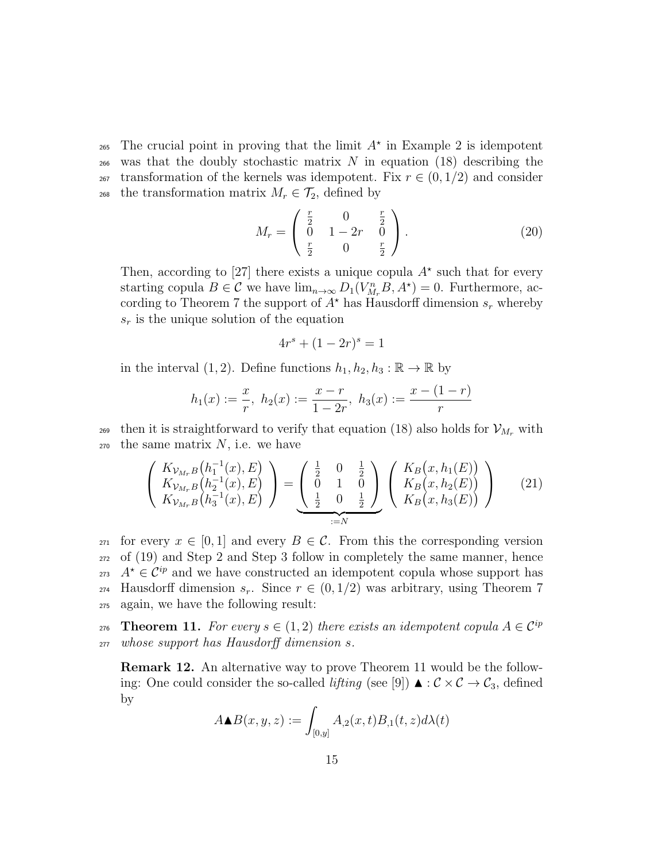The crucial point in proving that the limit  $A^*$  in Example 2 is idempotent <sup>266</sup> was that the doubly stochastic matrix *N* in equation (18) describing the  $_{267}$  transformation of the kernels was idempotent. Fix  $r \in (0, 1/2)$  and consider 268 the transformation matrix  $M_r \in \mathcal{T}_2$ , defined by

$$
M_r = \begin{pmatrix} \frac{r}{2} & 0 & \frac{r}{2} \\ 0 & 1 - 2r & 0 \\ \frac{r}{2} & 0 & \frac{r}{2} \end{pmatrix} .
$$
 (20)

Then, according to [27] there exists a unique copula  $A^*$  such that for every starting copula  $B \in \mathcal{C}$  we have  $\lim_{n \to \infty} D_1(V_{M_r}^n B, A^*) = 0$ . Furthermore, according to Theorem 7 the support of  $A^*$  has Hausdorff dimension  $s_r$  whereby *s<sup>r</sup>* is the unique solution of the equation

$$
4r^s + (1 - 2r)^s = 1
$$

in the interval  $(1, 2)$ . Define functions  $h_1, h_2, h_3 : \mathbb{R} \to \mathbb{R}$  by

$$
h_1(x) := \frac{x}{r}, \ h_2(x) := \frac{x-r}{1-2r}, \ h_3(x) := \frac{x-(1-r)}{r}
$$

269 then it is straightforward to verify that equation (18) also holds for  $\mathcal{V}_{M_r}$  with  $270$  the same matrix  $N$ , i.e. we have

$$
\begin{pmatrix}\nK_{\mathcal{V}_{M_r}B}(h_1^{-1}(x), E) \\
K_{\mathcal{V}_{M_r}B}(h_2^{-1}(x), E) \\
K_{\mathcal{V}_{M_r}B}(h_3^{-1}(x), E)\n\end{pmatrix} = \underbrace{\begin{pmatrix} \frac{1}{2} & 0 & \frac{1}{2} \\ 0 & 1 & 0 \\ \frac{1}{2} & 0 & \frac{1}{2} \end{pmatrix}}_{:=N} \begin{pmatrix} K_B(x, h_1(E)) \\
K_B(x, h_2(E)) \\
K_B(x, h_3(E)) \end{pmatrix}
$$
\n(21)

 $_{271}$  for every  $x \in [0,1]$  and every  $B \in \mathcal{C}$ . From this the corresponding version <sup>272</sup> of (19) and Step 2 and Step 3 follow in completely the same manner, hence 273  $A^* \in \mathcal{C}^{ip}$  and we have constructed an idempotent copula whose support has 274 Hausdorff dimension  $s_r$ . Since  $r \in (0,1/2)$  was arbitrary, using Theorem 7 <sup>275</sup> again, we have the following result:

**Theorem 11.** For every  $s \in (1,2)$  there exists an idempotent copula  $A \in \mathcal{C}^{ip}$ 276 <sup>277</sup> *whose support has Hausdorff dimension s.*

**Remark 12.** An alternative way to prove Theorem 11 would be the following: One could consider the so-called *lifting* (see [9])  $\blacktriangle$  :  $\mathcal{C} \times \mathcal{C} \rightarrow \mathcal{C}_3$ , defined by

$$
A \blacktriangle B(x, y, z) := \int_{[0, y]} A_{,2}(x, t) B_{,1}(t, z) d\lambda(t)
$$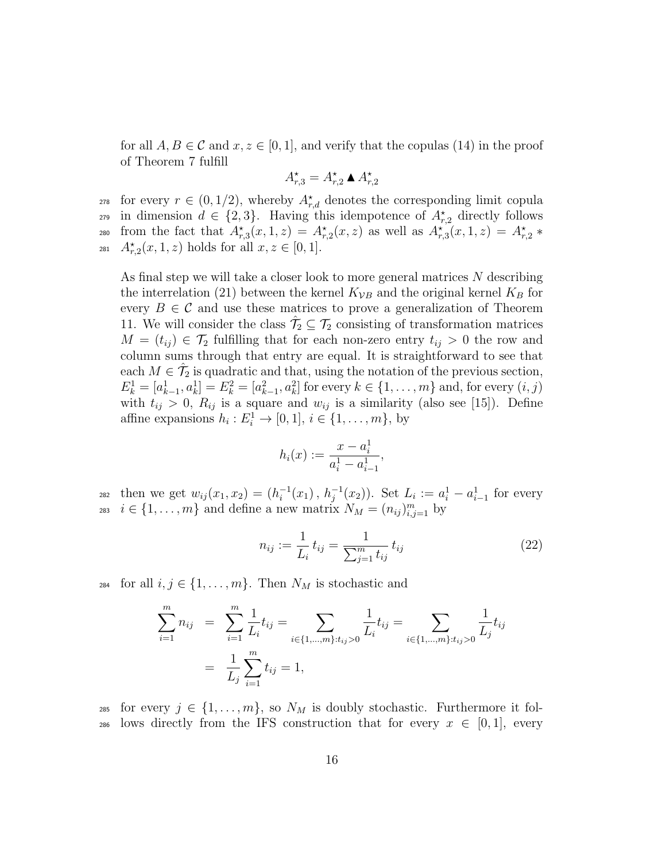for all  $A, B \in \mathcal{C}$  and  $x, z \in [0, 1]$ , and verify that the copulas (14) in the proof of Theorem 7 fulfill

$$
A_{r,3}^{\star} = A_{r,2}^{\star} \bullet A_{r,2}^{\star}
$$

for every  $r \in (0, 1/2)$ , whereby  $A_{r,d}^*$  denotes the corresponding limit copula

in dimension  $d \in \{2, 3\}$ . Having this idempotence of  $A_{r,2}^{\star}$  directly follows

 $f_{r,3}(x, 1, z) = A_{r,3}^*(x, 1, z) = A_{r,2}^*(x, z)$  as well as  $A_{r,3}^*(x, 1, z) = A_{r,2}^*(x, z)$ 

 $A_{r,2}^{\star}(x,1,z)$  holds for all  $x, z \in [0,1].$ 

As final step we will take a closer look to more general matrices *N* describing the interrelation (21) between the kernel  $K_{VB}$  and the original kernel  $K_B$  for every  $B \in \mathcal{C}$  and use these matrices to prove a generalization of Theorem 11. We will consider the class  $\hat{\mathcal{T}}_2 \subseteq \mathcal{T}_2$  consisting of transformation matrices *M* =  $(t_{ij})$  ∈  $\mathcal{T}_2$  fulfilling that for each non-zero entry  $t_{ij}$  > 0 the row and column sums through that entry are equal. It is straightforward to see that each  $M \in \hat{\mathcal{T}}_2$  is quadratic and that, using the notation of the previous section,  $E_k^1 = [a_{k-1}^1, a_k^1] = E_k^2 = [a_{k-1}^2, a_k^2]$  for every  $k \in \{1, ..., m\}$  and, for every  $(i, j)$ with  $t_{ij} > 0$ ,  $R_{ij}$  is a square and  $w_{ij}$  is a similarity (also see [15]). Define affine expansions  $h_i: E_i^1 \to [0,1], i \in \{1, \ldots, m\}$ , by

$$
h_i(x) := \frac{x - a_i^1}{a_i^1 - a_{i-1}^1},
$$

282 then we get  $w_{ij}(x_1, x_2) = (h_i^{-1}(x_1), h_j^{-1}(x_2))$ . Set  $L_i := a_i^1 - a_{i-1}^1$  for every  $i \in \{1, \ldots, m\}$  and define a new matrix  $N_M = (n_{ij})_{i,j=1}^m$  by

$$
n_{ij} := \frac{1}{L_i} t_{ij} = \frac{1}{\sum_{j=1}^m t_{ij}} t_{ij}
$$
 (22)

<sup>284</sup> for all  $i, j \in \{1, \ldots, m\}$ . Then  $N_M$  is stochastic and

$$
\sum_{i=1}^{m} n_{ij} = \sum_{i=1}^{m} \frac{1}{L_i} t_{ij} = \sum_{i \in \{1, \dots, m\}: t_{ij} > 0} \frac{1}{L_i} t_{ij} = \sum_{i \in \{1, \dots, m\}: t_{ij} > 0} \frac{1}{L_j} t_{ij}
$$

$$
= \frac{1}{L_j} \sum_{i=1}^{m} t_{ij} = 1,
$$

285 for every  $j \in \{1, \ldots, m\}$ , so  $N_M$  is doubly stochastic. Furthermore it fol-286 lows directly from the IFS construction that for every  $x \in [0,1]$ , every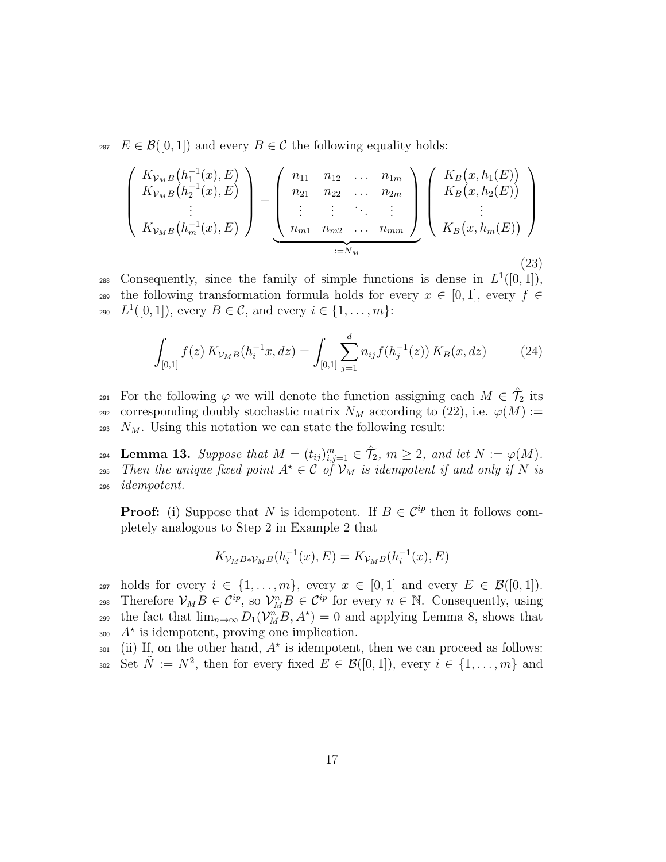287  $E \in \mathcal{B}([0,1])$  and every  $B \in \mathcal{C}$  the following equality holds:

$$
\begin{pmatrix}\nK_{\mathcal{V}_{MB}}(h_1^{-1}(x), E) \\
K_{\mathcal{V}_{MB}}(h_2^{-1}(x), E) \\
\vdots \\
K_{\mathcal{V}_{MB}}(h_m^{-1}(x), E)\n\end{pmatrix} = \underbrace{\begin{pmatrix}\nn_{11} & n_{12} & \dots & n_{1m} \\
n_{21} & n_{22} & \dots & n_{2m} \\
\vdots & \vdots & \ddots & \vdots \\
n_{m1} & n_{m2} & \dots & n_{mm}\n\end{pmatrix}}_{:=N_M} \begin{pmatrix}\nK_B(x, h_1(E)) \\
K_B(x, h_2(E)) \\
\vdots \\
K_B(x, h_m(E))\n\end{pmatrix}
$$
\n(23)

consequently, since the family of simple functions is dense in  $L^1([0,1])$ , 289 the following transformation formula holds for every  $x \in [0,1]$ , every  $f \in$ 290  $L^1([0,1])$ , every  $B \in \mathcal{C}$ , and every  $i \in \{1, ..., m\}$ :

$$
\int_{[0,1]} f(z) K_{\mathcal{V}_M B}(h_i^{-1}x, dz) = \int_{[0,1]} \sum_{j=1}^d n_{ij} f(h_j^{-1}(z)) K_B(x, dz)
$$
 (24)

For the following  $\varphi$  we will denote the function assigning each  $M \in \hat{\mathcal{T}}_2$  its <sup>292</sup> corresponding doubly stochastic matrix  $N_M$  according to (22), i.e.  $\varphi(M) :=$ <sup>293</sup> *NM*. Using this notation we can state the following result:

**Lemma 13.** Suppose that  $M = (t_{ij})_{i,j=1}^m \in \mathcal{T}_2$ ,  $m \geq 2$ , and let  $N := \varphi(M)$ . *z*<sub>295</sub> *Then the unique fixed point*  $A^{\star} \in \mathcal{C}$  *of*  $\mathcal{V}_M$  *is idempotent if and only if*  $N$  *is* <sup>296</sup> *idempotent.*

**Proof:** (i) Suppose that *N* is idempotent. If  $B \in C^{ip}$  then it follows completely analogous to Step 2 in Example 2 that

$$
K_{\mathcal{V}_M B * \mathcal{V}_M B}(h_i^{-1}(x), E) = K_{\mathcal{V}_M B}(h_i^{-1}(x), E)
$$

297 holds for every  $i \in \{1, \ldots, m\}$ , every  $x \in [0, 1]$  and every  $E \in \mathcal{B}([0, 1])$ . Therefore  $V_M B \in C^{ip}$ , so  $V_M^n B \in C^{ip}$  for every  $n \in \mathbb{N}$ . Consequently, using the fact that  $\lim_{n\to\infty} D_1(\mathcal{V}_M^n B, A^*) = 0$  and applying Lemma 8, shows that  $A^*$  is idempotent, proving one implication.

 $_{301}$  (ii) If, on the other hand,  $A^*$  is idempotent, then we can proceed as follows:  $S_{302}$  Set  $\tilde{N} := N^2$ , then for every fixed  $E \in \mathcal{B}([0,1])$ , every  $i \in \{1,\ldots,m\}$  and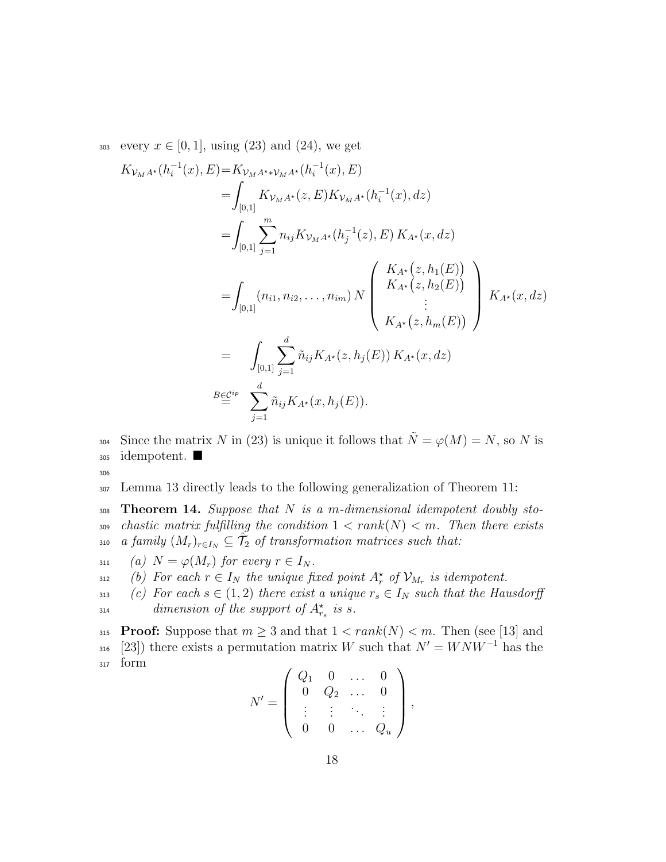303 every  $x \in [0, 1]$ , using (23) and (24), we get

$$
K_{\mathcal{V}_{M}A^{*}}(h_{i}^{-1}(x), E) = K_{\mathcal{V}_{M}A^{*}\mathcal{V}_{M}A^{*}}(h_{i}^{-1}(x), E)
$$
  
\n
$$
= \int_{[0,1]} K_{\mathcal{V}_{M}A^{*}}(z, E) K_{\mathcal{V}_{M}A^{*}}(h_{i}^{-1}(x), dz)
$$
  
\n
$$
= \int_{[0,1]} \sum_{j=1}^{m} n_{ij} K_{\mathcal{V}_{M}A^{*}}(h_{j}^{-1}(z), E) K_{A^{*}}(x, dz)
$$
  
\n
$$
= \int_{[0,1]} (n_{i1}, n_{i2}, \dots, n_{im}) N \begin{pmatrix} K_{A^{*}}(z, h_{1}(E)) \\ K_{A^{*}}(z, h_{2}(E)) \\ \vdots \\ K_{A^{*}}(z, h_{m}(E)) \end{pmatrix} K_{A^{*}}(x, dz)
$$
  
\n
$$
= \int_{[0,1]} \sum_{j=1}^{d} \tilde{n}_{ij} K_{A^{*}}(z, h_{j}(E)) K_{A^{*}}(x, dz)
$$
  
\n
$$
B \underline{\in}^{cip} \sum_{j=1}^{d} \tilde{n}_{ij} K_{A^{*}}(x, h_{j}(E)).
$$

Since the matrix *N* in (23) is unique it follows that  $\tilde{N} = \varphi(M) = N$ , so *N* is <sup>305</sup> idempotent.

306

<sup>307</sup> Lemma 13 directly leads to the following generalization of Theorem 11:

<sup>308</sup> **Theorem 14.** *Suppose that N is a m-dimensional idempotent doubly sto-*309 *chastic matrix fulfilling the condition*  $1 < rank(N) < m$ *. Then there exists a*<sub>2</sub> *a*<sub>*family*  $(M_r)_{r \in I_N} \subseteq \hat{T}_2$  *of transformation matrices such that:*</sub>

311 *(a)*  $N = \varphi(M_r)$  for every  $r \in I_N$ .

*(b)* For each  $r \in I_N$  the unique fixed point  $A_r^*$  of  $\mathcal{V}_{M_r}$  is idempotent.

313 *(c)* For each  $s \in (1,2)$  there exist a unique  $r_s \in I_N$  such that the Hausdorff *dimension of the support of*  $A^*_{r_s}$  *is s.* 

315 **Proof:** Suppose that  $m \geq 3$  and that  $1 < rank(N) < m$ . Then (see [13] and  $[23]$ ) there exists a permutation matrix *W* such that  $N' = WNW^{-1}$  has the <sup>317</sup> form  $\overline{ }$ 

$$
N' = \left( \begin{array}{cccc} Q_1 & 0 & \dots & 0 \\ 0 & Q_2 & \dots & 0 \\ \vdots & \vdots & \ddots & \vdots \\ 0 & 0 & \dots & Q_u \end{array} \right),
$$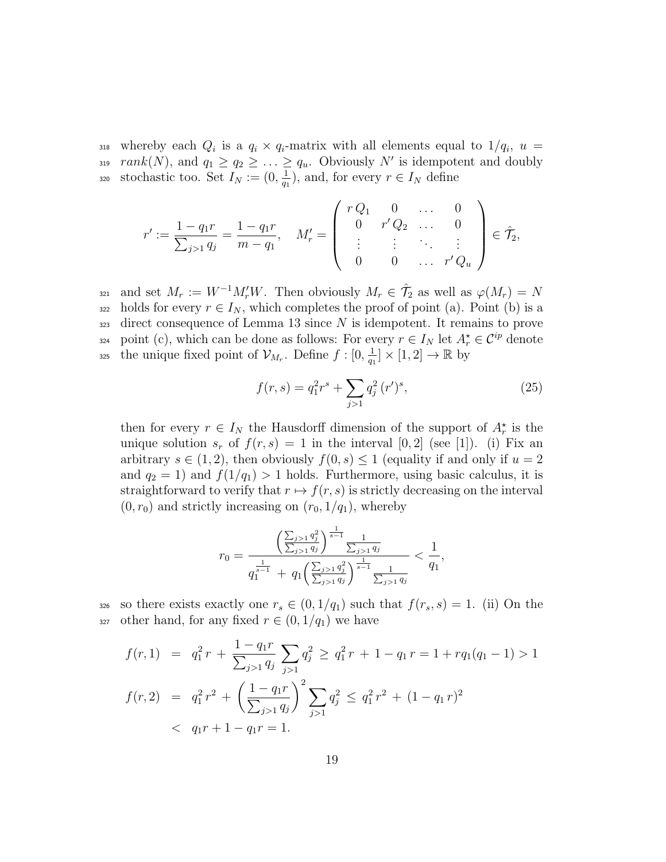$_{318}$  whereby each  $Q_i$  is a  $q_i \times q_i$ -matrix with all elements equal to  $1/q_i$ ,  $u =$ *rank*(*N*), and  $q_1 \geq q_2 \geq \ldots \geq q_u$ . Obviously *N'* is idempotent and doubly stochastic too. Set  $I_N := (0, \frac{1}{a_1})$ 320 stochastic too. Set  $I_N := (0, \frac{1}{q_1})$ , and, for every  $r \in I_N$  define

$$
r' := \frac{1 - q_1 r}{\sum_{j>1} q_j} = \frac{1 - q_1 r}{m - q_1}, \quad M'_r = \begin{pmatrix} r Q_1 & 0 & \dots & 0 \\ 0 & r' Q_2 & \dots & 0 \\ \vdots & \vdots & \ddots & \vdots \\ 0 & 0 & \dots & r' Q_u \end{pmatrix} \in \hat{\mathcal{T}}_2,
$$

and set  $M_r := W^{-1}M_r'W$ . Then obviously  $M_r \in \hat{\mathcal{T}}_2$  as well as  $\varphi(M_r) = N$  $322$  holds for every  $r \in I_N$ , which completes the proof of point (a). Point (b) is a <sup>323</sup> direct consequence of Lemma 13 since *N* is idempotent. It remains to prove point (c), which can be done as follows: For every  $r \in I_N$  let  $A_r^* \in C^{ip}$  denote the unique fixed point of  $\mathcal{V}_{M_r}$ . Define  $f: [0, \frac{1}{q_1}]$ <sup>325</sup> the unique fixed point of  $\mathcal{V}_{M_r}$ . Define  $f : [0, \frac{1}{q_1}] \times [1, 2] \to \mathbb{R}$  by

$$
f(r,s) = q_1^2 r^s + \sum_{j>1} q_j^2 (r')^s,
$$
\n(25)

then for every  $r \in I_N$  the Hausdorff dimension of the support of  $A_r^*$  is the unique solution  $s_r$  of  $f(r, s) = 1$  in the interval  $[0, 2]$  (see [1]). (i) Fix an arbitrary  $s \in (1, 2)$ , then obviously  $f(0, s) \leq 1$  (equality if and only if  $u = 2$ ) and  $q_2 = 1$ ) and  $f(1/q_1) > 1$  holds. Furthermore, using basic calculus, it is straightforward to verify that  $r \mapsto f(r, s)$  is strictly decreasing on the interval  $(0, r_0)$  and strictly increasing on  $(r_0, 1/q_1)$ , whereby

$$
r_0 = \frac{\left(\frac{\sum_{j>1} q_j^2}{\sum_{j>1} q_j}\right)^{\frac{1}{s-1}} \frac{1}{\sum_{j>1} q_j}}{q_1^{\frac{1}{s-1}} + q_1 \left(\frac{\sum_{j>1} q_j^2}{\sum_{j>1} q_j}\right)^{\frac{1}{s-1}} \frac{1}{\sum_{j>1} q_j}} < \frac{1}{q_1},
$$

326 so there exists exactly one  $r_s \in (0, 1/q_1)$  such that  $f(r_s, s) = 1$ . (ii) On the 327 other hand, for any fixed  $r \in (0, 1/q_1)$  we have

$$
f(r,1) = q_1^2 r + \frac{1 - q_1 r}{\sum_{j>1} q_j} \sum_{j>1} q_j^2 \ge q_1^2 r + 1 - q_1 r = 1 + r q_1 (q_1 - 1) > 1
$$
  

$$
f(r,2) = q_1^2 r^2 + \left(\frac{1 - q_1 r}{\sum_{j>1} q_j}\right)^2 \sum_{j>1} q_j^2 \le q_1^2 r^2 + (1 - q_1 r)^2
$$
  

$$
< q_1 r + 1 - q_1 r = 1.
$$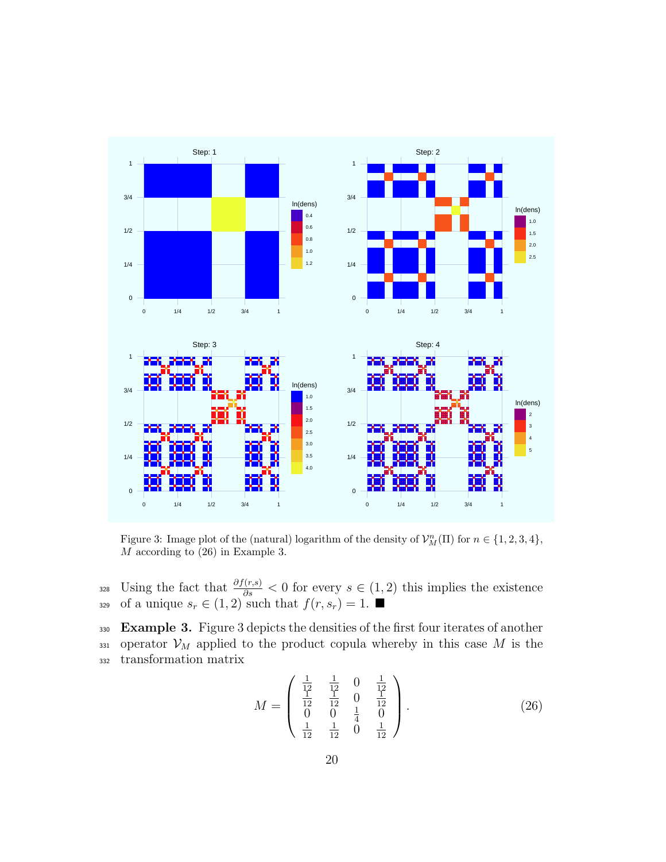

Figure 3: Image plot of the (natural) logarithm of the density of  $\mathcal{V}_M^n(\Pi)$  for  $n \in \{1, 2, 3, 4\}$ , *M* according to (26) in Example 3.

328 *∪sing the fact that*  $\frac{\partial f(r,s)}{\partial s}$  < 0 for every *s* ∈ (1, 2) this implies the existence 329 of a unique  $s_r \in (1,2)$  such that  $f(r, s_r) = 1$ .

<sup>330</sup> **Example 3.** Figure 3 depicts the densities of the first four iterates of another 331 operator  $\mathcal{V}_M$  applied to the product copula whereby in this case M is the <sup>332</sup> transformation matrix

$$
M = \begin{pmatrix} \frac{1}{12} & \frac{1}{12} & 0 & \frac{1}{12} \\ \frac{1}{12} & \frac{1}{12} & 0 & \frac{1}{12} \\ 0 & 0 & \frac{1}{4} & 0 \\ \frac{1}{12} & \frac{1}{12} & 0 & \frac{1}{12} \end{pmatrix} .
$$
 (26)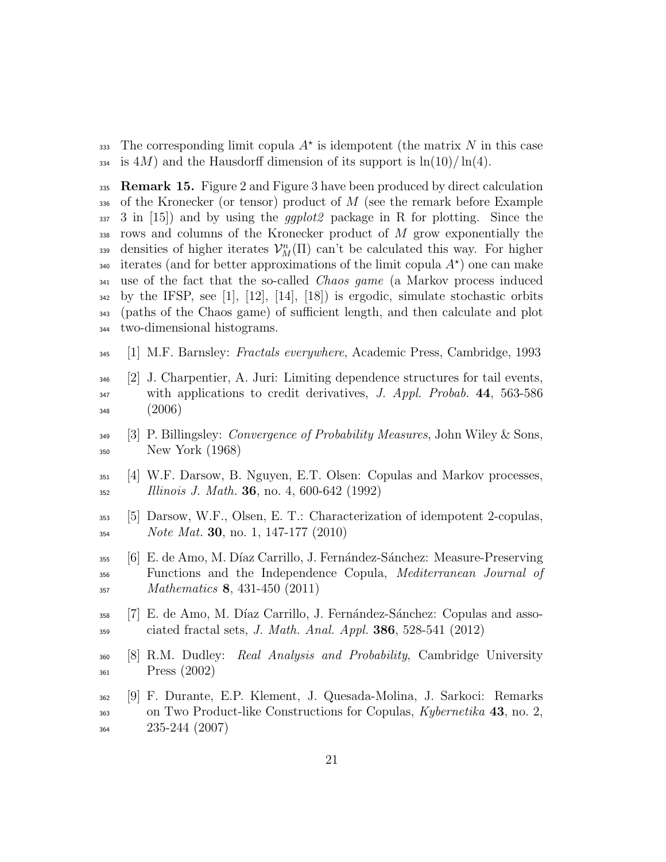The corresponding limit copula  $A^*$  is idempotent (the matrix  $N$  in this case  $_{334}$  is 4*M*) and the Hausdorff dimension of its support is  $\ln(10)/\ln(4)$ .

 **Remark 15.** Figure 2 and Figure 3 have been produced by direct calculation of the Kronecker (or tensor) product of *M* (see the remark before Example 3 in [15]) and by using the *ggplot2* package in R for plotting. Since the rows and columns of the Kronecker product of *M* grow exponentially the densities of higher iterates  $\mathcal{V}_M^n(\Pi)$  can't be calculated this way. For higher iterates (and for better approximations of the limit copula  $A^*$ ) one can make use of the fact that the so-called *Chaos game* (a Markov process induced by the IFSP, see [1], [12], [14], [18]) is ergodic, simulate stochastic orbits (paths of the Chaos game) of sufficient length, and then calculate and plot two-dimensional histograms.

- [1] M.F. Barnsley: *Fractals everywhere*, Academic Press, Cambridge, 1993
- [2] J. Charpentier, A. Juri: Limiting dependence structures for tail events, with applications to credit derivatives, *J. Appl. Probab.* **44**, 563-586 (2006)
- [3] P. Billingsley: *Convergence of Probability Measures*, John Wiley & Sons, New York (1968)
- [4] W.F. Darsow, B. Nguyen, E.T. Olsen: Copulas and Markov processes, *Illinois J. Math.* **36**, no. 4, 600-642 (1992)
- [5] Darsow, W.F., Olsen, E. T.: Characterization of idempotent 2-copulas, *Note Mat.* **30**, no. 1, 147-177 (2010)
- [6] E. de Amo, M. D´ıaz Carrillo, J. Fern´andez-S´anchez: Measure-Preserving Functions and the Independence Copula, *Mediterranean Journal of Mathematics* **8**, 431-450 (2011)
- <sup>358</sup> [7] E. de Amo, M. Díaz Carrillo, J. Fernández-Sánchez: Copulas and asso-ciated fractal sets, *J. Math. Anal. Appl.* **386**, 528-541 (2012)
- [8] R.M. Dudley: *Real Analysis and Probability*, Cambridge University Press (2002)
- [9] F. Durante, E.P. Klement, J. Quesada-Molina, J. Sarkoci: Remarks on Two Product-like Constructions for Copulas, *Kybernetika* **43**, no. 2, 235-244 (2007)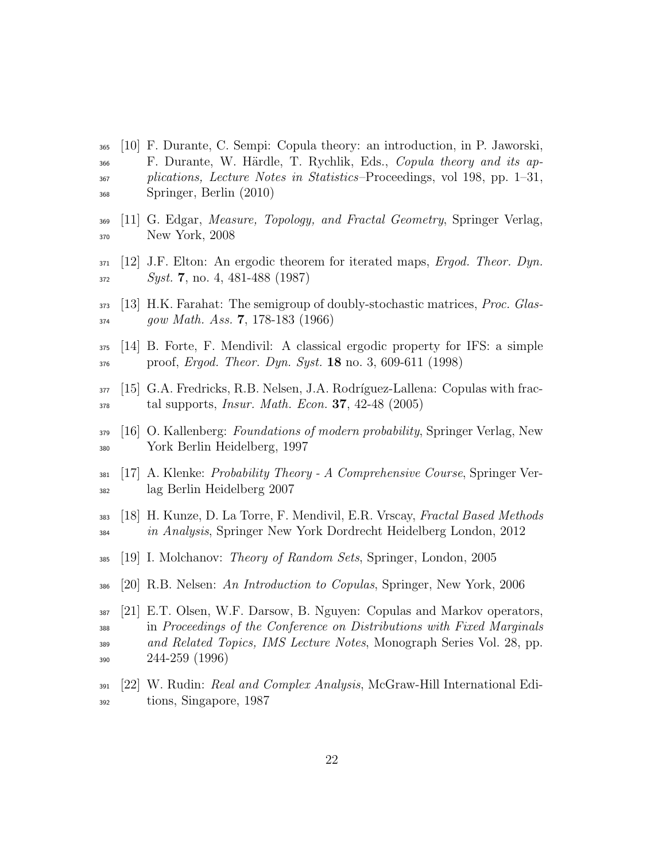- [10] F. Durante, C. Sempi: Copula theory: an introduction, in P. Jaworski, F. Durante, W. H¨ardle, T. Rychlik, Eds., *Copula theory and its ap- plications, Lecture Notes in Statistics*–Proceedings, vol 198, pp. 1–31, Springer, Berlin (2010)
- [11] G. Edgar, *Measure, Topology, and Fractal Geometry*, Springer Verlag, New York, 2008
- [12] J.F. Elton: An ergodic theorem for iterated maps, *Ergod. Theor. Dyn. Syst.* **7**, no. 4, 481-488 (1987)
- [13] H.K. Farahat: The semigroup of doubly-stochastic matrices, *Proc. Glas-gow Math. Ass.* **7**, 178-183 (1966)
- [14] B. Forte, F. Mendivil: A classical ergodic property for IFS: a simple proof, *Ergod. Theor. Dyn. Syst.* **18** no. 3, 609-611 (1998)
- 377 [15] G.A. Fredricks, R.B. Nelsen, J.A. Rodríguez-Lallena: Copulas with frac-tal supports, *Insur. Math. Econ.* **37**, 42-48 (2005)
- [16] O. Kallenberg: *Foundations of modern probability*, Springer Verlag, New York Berlin Heidelberg, 1997
- [17] A. Klenke: *Probability Theory A Comprehensive Course*, Springer Ver-lag Berlin Heidelberg 2007
- [18] H. Kunze, D. La Torre, F. Mendivil, E.R. Vrscay, *Fractal Based Methods in Analysis*, Springer New York Dordrecht Heidelberg London, 2012
- [19] I. Molchanov: *Theory of Random Sets*, Springer, London, 2005
- [20] R.B. Nelsen: *An Introduction to Copulas*, Springer, New York, 2006
- [21] E.T. Olsen, W.F. Darsow, B. Nguyen: Copulas and Markov operators, in *Proceedings of the Conference on Distributions with Fixed Marginals and Related Topics, IMS Lecture Notes*, Monograph Series Vol. 28, pp. 244-259 (1996)
- [22] W. Rudin: *Real and Complex Analysis*, McGraw-Hill International Edi-tions, Singapore, 1987